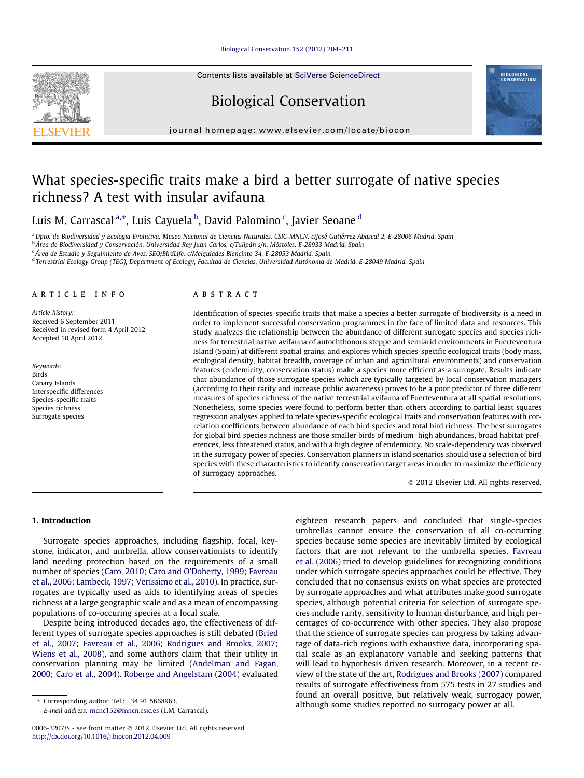# [Biological Conservation 152 \(2012\) 204–211](http://dx.doi.org/10.1016/j.biocon.2012.04.009)

Contents lists available at [SciVerse ScienceDirect](http://www.sciencedirect.com/science/journal/00063207)

# Biological Conservation

journal homepage: [www.elsevier.com/locate/biocon](http://www.elsevier.com/locate/biocon)

# What species-specific traits make a bird a better surrogate of native species richness? A test with insular avifauna

Luis M. Carrascal <sup>a,</sup>\*, Luis Cayuela <sup>b</sup>, David Palomino <sup>c</sup>, Javier Seoane <sup>d</sup>

a Dpto. de Biodiversidad y Ecología Evolutiva, Museo Nacional de Ciencias Naturales, CSIC-MNCN, c/José Gutiérrez Abascal 2, E-28006 Madrid, Spain

<sup>b</sup> Área de Biodiversidad y Conservación, Universidad Rey Juan Carlos, c/Tulipán s/n, Móstoles, E-28933 Madrid, Spain

<sup>c</sup> Área de Estudio y Seguimiento de Aves, SEO/BirdLife, c/Melquiades Biencinto 34, E-28053 Madrid, Spain

<sup>d</sup> Terrestrial Ecology Group (TEG), Department of Ecology, Facultad de Ciencias, Universidad Autónoma de Madrid, E-28049 Madrid, Spain

## article info

Article history: Received 6 September 2011 Received in revised form 4 April 2012 Accepted 10 April 2012

Keywords: Birds Canary Islands Interspecific differences Species-specific traits Species richness Surrogate species

# **ABSTRACT**

Identification of species-specific traits that make a species a better surrogate of biodiversity is a need in order to implement successful conservation programmes in the face of limited data and resources. This study analyzes the relationship between the abundance of different surrogate species and species richness for terrestrial native avifauna of autochthonous steppe and semiarid environments in Fuerteventura Island (Spain) at different spatial grains, and explores which species-specific ecological traits (body mass, ecological density, habitat breadth, coverage of urban and agricultural environments) and conservation features (endemicity, conservation status) make a species more efficient as a surrogate. Results indicate that abundance of those surrogate species which are typically targeted by local conservation managers (according to their rarity and increase public awareness) proves to be a poor predictor of three different measures of species richness of the native terrestrial avifauna of Fuerteventura at all spatial resolutions. Nonetheless, some species were found to perform better than others according to partial least squares regression analyses applied to relate species-specific ecological traits and conservation features with correlation coefficients between abundance of each bird species and total bird richness. The best surrogates for global bird species richness are those smaller birds of medium–high abundances, broad habitat preferences, less threatened status, and with a high degree of endemicity. No scale-dependency was observed in the surrogacy power of species. Conservation planners in island scenarios should use a selection of bird species with these characteristics to identify conservation target areas in order to maximize the efficiency of surrogacy approaches.

- 2012 Elsevier Ltd. All rights reserved.

## 1. Introduction

Surrogate species approaches, including flagship, focal, keystone, indicator, and umbrella, allow conservationists to identify land needing protection based on the requirements of a small number of species ([Caro, 2010; Caro and O'Doherty, 1999; Favreau](#page-7-0) [et al., 2006; Lambeck, 1997](#page-7-0); [Verissimo et al., 2010\)](#page-7-0). In practice, surrogates are typically used as aids to identifying areas of species richness at a large geographic scale and as a mean of encompassing populations of co-occuring species at a local scale.

Despite being introduced decades ago, the effectiveness of different types of surrogate species approaches is still debated ([Bried](#page-7-0) [et al., 2007;](#page-7-0) [Favreau et al., 2006;](#page-7-0) [Rodrigues and Brooks, 2007;](#page-7-0) [Wiens et al., 2008\)](#page-7-0), and some authors claim that their utility in conservation planning may be limited ([Andelman and Fagan,](#page-7-0) [2000; Caro et al., 2004](#page-7-0)). [Roberge and Angelstam \(2004\)](#page-7-0) evaluated

⇑ Corresponding author. Tel.: +34 91 5668963.

E-mail address: [mcnc152@mncn.csic.es](mailto:mcnc152@mncn.csic.es) (L.M. Carrascal).

eighteen research papers and concluded that single-species umbrellas cannot ensure the conservation of all co-occurring species because some species are inevitably limited by ecological factors that are not relevant to the umbrella species. [Favreau](#page-7-0) [et al. \(2006\)](#page-7-0) tried to develop guidelines for recognizing conditions under which surrogate species approaches could be effective. They concluded that no consensus exists on what species are protected by surrogate approaches and what attributes make good surrogate species, although potential criteria for selection of surrogate species include rarity, sensitivity to human disturbance, and high percentages of co-occurrence with other species. They also propose that the science of surrogate species can progress by taking advantage of data-rich regions with exhaustive data, incorporating spatial scale as an explanatory variable and seeking patterns that will lead to hypothesis driven research. Moreover, in a recent review of the state of the art, [Rodrigues and Brooks \(2007\)](#page-7-0) compared results of surrogate effectiveness from 575 tests in 27 studies and found an overall positive, but relatively weak, surrogacy power, although some studies reported no surrogacy power at all.





<sup>0006-3207/\$ -</sup> see front matter © 2012 Elsevier Ltd. All rights reserved. <http://dx.doi.org/10.1016/j.biocon.2012.04.009>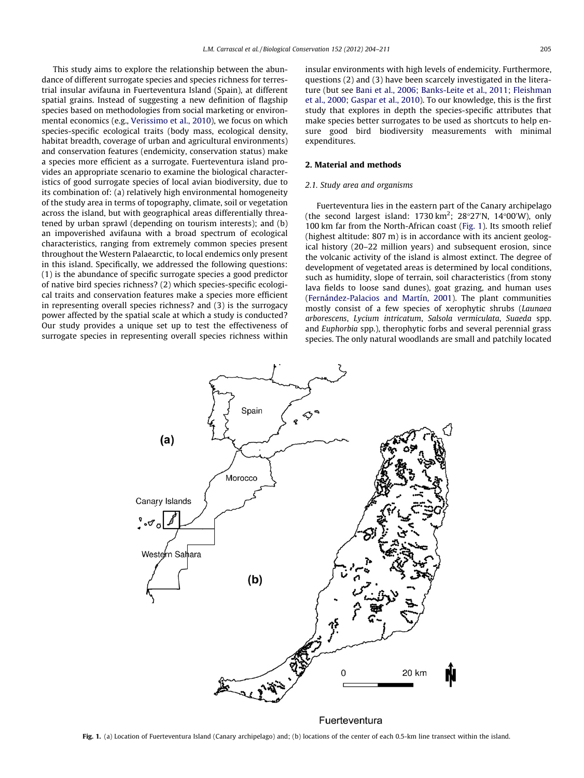<span id="page-1-0"></span>This study aims to explore the relationship between the abundance of different surrogate species and species richness for terrestrial insular avifauna in Fuerteventura Island (Spain), at different spatial grains. Instead of suggesting a new definition of flagship species based on methodologies from social marketing or environmental economics (e.g., [Verissimo et al., 2010](#page-7-0)), we focus on which species-specific ecological traits (body mass, ecological density, habitat breadth, coverage of urban and agricultural environments) and conservation features (endemicity, conservation status) make a species more efficient as a surrogate. Fuerteventura island provides an appropriate scenario to examine the biological characteristics of good surrogate species of local avian biodiversity, due to its combination of: (a) relatively high environmental homogeneity of the study area in terms of topography, climate, soil or vegetation across the island, but with geographical areas differentially threatened by urban sprawl (depending on tourism interests); and (b) an impoverished avifauna with a broad spectrum of ecological characteristics, ranging from extremely common species present throughout the Western Palaearctic, to local endemics only present in this island. Specifically, we addressed the following questions: (1) is the abundance of specific surrogate species a good predictor of native bird species richness? (2) which species-specific ecological traits and conservation features make a species more efficient in representing overall species richness? and (3) is the surrogacy power affected by the spatial scale at which a study is conducted? Our study provides a unique set up to test the effectiveness of surrogate species in representing overall species richness within

insular environments with high levels of endemicity. Furthermore, questions (2) and (3) have been scarcely investigated in the literature (but see [Bani et al., 2006; Banks-Leite et al., 2011; Fleishman](#page-7-0) [et al., 2000; Gaspar et al., 2010](#page-7-0)). To our knowledge, this is the first study that explores in depth the species-specific attributes that make species better surrogates to be used as shortcuts to help ensure good bird biodiversity measurements with minimal expenditures.

# 2. Material and methods

### 2.1. Study area and organisms

Fuerteventura lies in the eastern part of the Canary archipelago (the second largest island:  $1730 \text{ km}^2$ ;  $28^{\circ}27^{\prime}$ N,  $14^{\circ}00^{\prime}$ W), only 100 km far from the North-African coast (Fig. 1). Its smooth relief (highest altitude: 807 m) is in accordance with its ancient geological history (20–22 million years) and subsequent erosion, since the volcanic activity of the island is almost extinct. The degree of development of vegetated areas is determined by local conditions, such as humidity, slope of terrain, soil characteristics (from stony lava fields to loose sand dunes), goat grazing, and human uses ([Fernández-Palacios and Martín, 2001](#page-7-0)). The plant communities mostly consist of a few species of xerophytic shrubs (Launaea arborescens, Lycium intricatum, Salsola vermiculata, Suaeda spp. and Euphorbia spp.), therophytic forbs and several perennial grass species. The only natural woodlands are small and patchily located



Fuerteventura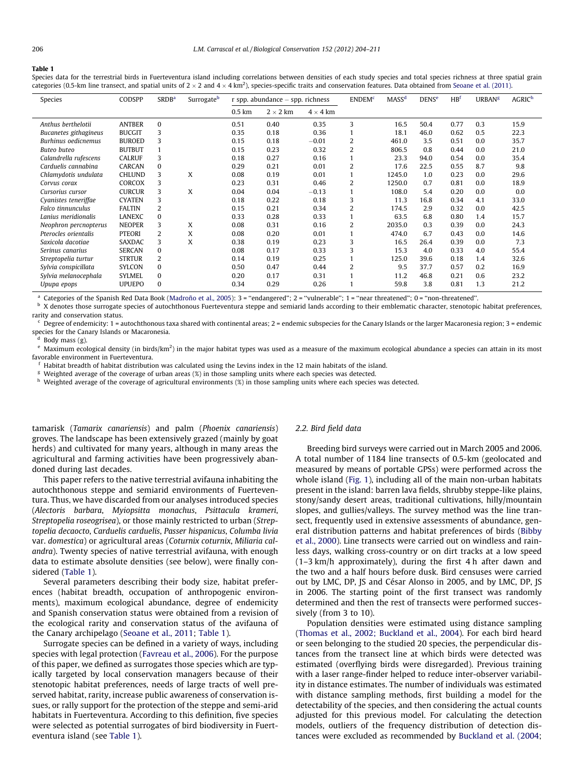#### <span id="page-2-0"></span>Table 1

Species data for the terrestrial birds in Fuerteventura island including correlations between densities of each study species and total species richness at three spatial grain categories (0.5-km line transect, and spatial units of 2  $\times$  2 and 4  $\times$  4 km<sup>2</sup>), species-specific traits and conservation features. Data obtained from [Seoane et al. \(2011\).](#page-7-0)

| Species               | CODSPP        | SRDB <sup>a</sup> | Surrogate <sup>b</sup> | $r$ spp. abundance $-$ spp. richness |                 | ENDEM <sup>c</sup> | MASS <sup>d</sup> | <b>DENS<sup>e</sup></b> | HB <sup>f</sup> | <b>URBAN<sup>g</sup></b> | AGRIC <sup>h</sup> |      |
|-----------------------|---------------|-------------------|------------------------|--------------------------------------|-----------------|--------------------|-------------------|-------------------------|-----------------|--------------------------|--------------------|------|
|                       |               |                   |                        | $0.5 \mathrm{km}$                    | $2 \times 2$ km | $4 \times 4$ km    |                   |                         |                 |                          |                    |      |
| Anthus berthelotii    | <b>ANTBER</b> | $\bf{0}$          |                        | 0.51                                 | 0.40            | 0.35               | 3                 | 16.5                    | 50.4            | 0.77                     | 0.3                | 15.9 |
| Bucanetes githagineus | <b>BUCGIT</b> | 3                 |                        | 0.35                                 | 0.18            | 0.36               |                   | 18.1                    | 46.0            | 0.62                     | 0.5                | 22.3 |
| Burhinus oedicnemus   | <b>BUROED</b> | 3                 |                        | 0.15                                 | 0.18            | $-0.01$            | 2                 | 461.0                   | 3.5             | 0.51                     | 0.0                | 35.7 |
| Buteo buteo           | <b>BUTBUT</b> |                   |                        | 0.15                                 | 0.23            | 0.32               | 2                 | 806.5                   | 0.8             | 0.44                     | 0.0                | 21.0 |
| Calandrella rufescens | <b>CALRUF</b> | 3                 |                        | 0.18                                 | 0.27            | 0.16               |                   | 23.3                    | 94.0            | 0.54                     | 0.0                | 35.4 |
| Carduelis cannabina   | CARCAN        | $\bf{0}$          |                        | 0.29                                 | 0.21            | 0.01               | 2                 | 17.6                    | 22.5            | 0.55                     | 8.7                | 9.8  |
| Chlamydotis undulata  | CHLUND        | 3                 | X                      | 0.08                                 | 0.19            | 0.01               |                   | 1245.0                  | 1.0             | 0.23                     | 0.0                | 29.6 |
| Corvus corax          | <b>CORCOX</b> | 3                 |                        | 0.23                                 | 0.31            | 0.46               | 2                 | 1250.0                  | 0.7             | 0.81                     | 0.0                | 18.9 |
| Cursorius cursor      | <b>CURCUR</b> | 3                 | X                      | 0.04                                 | 0.04            | $-0.13$            |                   | 108.0                   | 5.4             | 0.20                     | 0.0                | 0.0  |
| Cyanistes teneriffae  | <b>CYATEN</b> | 3                 |                        | 0.18                                 | 0.22            | 0.18               | 3                 | 11.3                    | 16.8            | 0.34                     | 4.1                | 33.0 |
| Falco tinnunculus     | <b>FALTIN</b> | 2                 |                        | 0.15                                 | 0.21            | 0.34               | 2                 | 174.5                   | 2.9             | 0.32                     | 0.0                | 42.5 |
| Lanius meridionalis   | LANEXC        | 0                 |                        | 0.33                                 | 0.28            | 0.33               |                   | 63.5                    | 6.8             | 0.80                     | 1.4                | 15.7 |
| Neophron percnopterus | <b>NEOPER</b> | 3                 | X                      | 0.08                                 | 0.31            | 0.16               | 2                 | 2035.0                  | 0.3             | 0.39                     | 0.0                | 24.3 |
| Pterocles orientalis  | PTEORI        | 2                 | X                      | 0.08                                 | 0.20            | 0.01               |                   | 474.0                   | 6.7             | 0.43                     | 0.0                | 14.6 |
| Saxicola dacotiae     | <b>SAXDAC</b> | 3                 | X                      | 0.38                                 | 0.19            | 0.23               | 3                 | 16.5                    | 26.4            | 0.39                     | 0.0                | 7.3  |
| Serinus canarius      | <b>SERCAN</b> | $\bf{0}$          |                        | 0.08                                 | 0.17            | 0.33               | 3                 | 15.3                    | 4.0             | 0.33                     | 4.0                | 55.4 |
| Streptopelia turtur   | <b>STRTUR</b> | 2                 |                        | 0.14                                 | 0.19            | 0.25               |                   | 125.0                   | 39.6            | 0.18                     | 1.4                | 32.6 |
| Sylvia conspicillata  | <b>SYLCON</b> | $\bf{0}$          |                        | 0.50                                 | 0.47            | 0.44               | 2                 | 9.5                     | 37.7            | 0.57                     | 0.2                | 16.9 |
| Sylvia melanocephala  | SYLMEL        | 0                 |                        | 0.20                                 | 0.17            | 0.31               |                   | 11.2                    | 46.8            | 0.21                     | 0.6                | 23.2 |
| Upupa epops           | <b>UPUEPO</b> | $\bf{0}$          |                        | 0.34                                 | 0.29            | 0.26               |                   | 59.8                    | 3.8             | 0.81                     | 1.3                | 21.2 |

Categories of the Spanish Red Data Book ([Madroño et al., 2005](#page-7-0)): 3 = "endangered"; 2 = "vulnerable"; 1 = "near threatened"; 0 = "non-threatened".

<sup>b</sup> X denotes those surrogate species of autochthonous Fuerteventura steppe and semiarid lands according to their emblematic character, stenotopic habitat preferences, rarity and conservation status.

 $c$  Degree of endemicity: 1 = autochthonous taxa shared with continental areas; 2 = endemic subspecies for the Canary Islands or the larger Macaronesia region; 3 = endemic species for the Canary Islands or Macaronesia.

 $\sigma$  Body mass  $(\sigma)$ .

 $\rm^e$  Maximum ecological density (in birds/km<sup>2</sup>) in the major habitat types was used as a measure of the maximum ecological abundance a species can attain in its most favorable environment in Fuerteventura.

<sup>f</sup> Habitat breadth of habitat distribution was calculated using the Levins index in the 12 main habitats of the island.

<sup>g</sup> Weighted average of the coverage of urban areas (%) in those sampling units where each species was detected.

h Weighted average of the coverage of agricultural environments  $(\%)$  in those sampling units where each species was detected.

tamarisk (Tamarix canariensis) and palm (Phoenix canariensis) groves. The landscape has been extensively grazed (mainly by goat herds) and cultivated for many years, although in many areas the agricultural and farming activities have been progressively abandoned during last decades.

This paper refers to the native terrestrial avifauna inhabiting the autochthonous steppe and semiarid environments of Fuerteventura. Thus, we have discarded from our analyses introduced species (Alectoris barbara, Myiopsitta monachus, Psittacula krameri, Streptopelia roseogrisea), or those mainly restricted to urban (Streptopelia decaocto, Carduelis carduelis, Passer hispanicus, Columba livia var. domestica) or agricultural areas (Coturnix coturnix, Miliaria calandra). Twenty species of native terrestrial avifauna, with enough data to estimate absolute densities (see below), were finally considered (Table 1).

Several parameters describing their body size, habitat preferences (habitat breadth, occupation of anthropogenic environments), maximum ecological abundance, degree of endemicity and Spanish conservation status were obtained from a revision of the ecological rarity and conservation status of the avifauna of the Canary archipelago ([Seoane et al., 2011](#page-7-0); Table 1).

Surrogate species can be defined in a variety of ways, including species with legal protection [\(Favreau et al., 2006\)](#page-7-0). For the purpose of this paper, we defined as surrogates those species which are typically targeted by local conservation managers because of their stenotopic habitat preferences, needs of large tracts of well preserved habitat, rarity, increase public awareness of conservation issues, or rally support for the protection of the steppe and semi-arid habitats in Fuerteventura. According to this definition, five species were selected as potential surrogates of bird biodiversity in Fuerteventura island (see Table 1).

#### 2.2. Bird field data

Breeding bird surveys were carried out in March 2005 and 2006. A total number of 1184 line transects of 0.5-km (geolocated and measured by means of portable GPSs) were performed across the whole island ([Fig. 1](#page-1-0)), including all of the main non-urban habitats present in the island: barren lava fields, shrubby steppe-like plains, stony/sandy desert areas, traditional cultivations, hilly/mountain slopes, and gullies/valleys. The survey method was the line transect, frequently used in extensive assessments of abundance, general distribution patterns and habitat preferences of birds [\(Bibby](#page-7-0) [et al., 2000](#page-7-0)). Line transects were carried out on windless and rainless days, walking cross-country or on dirt tracks at a low speed (1–3 km/h approximately), during the first 4 h after dawn and the two and a half hours before dusk. Bird censuses were carried out by LMC, DP, JS and César Alonso in 2005, and by LMC, DP, JS in 2006. The starting point of the first transect was randomly determined and then the rest of transects were performed successively (from 3 to 10).

Population densities were estimated using distance sampling ([Thomas et al., 2002; Buckland et al., 2004](#page-7-0)). For each bird heard or seen belonging to the studied 20 species, the perpendicular distances from the transect line at which birds were detected was estimated (overflying birds were disregarded). Previous training with a laser range-finder helped to reduce inter-observer variability in distance estimates. The number of individuals was estimated with distance sampling methods, first building a model for the detectability of the species, and then considering the actual counts adjusted for this previous model. For calculating the detection models, outliers of the frequency distribution of detection distances were excluded as recommended by [Buckland et al. \(2004;](#page-7-0)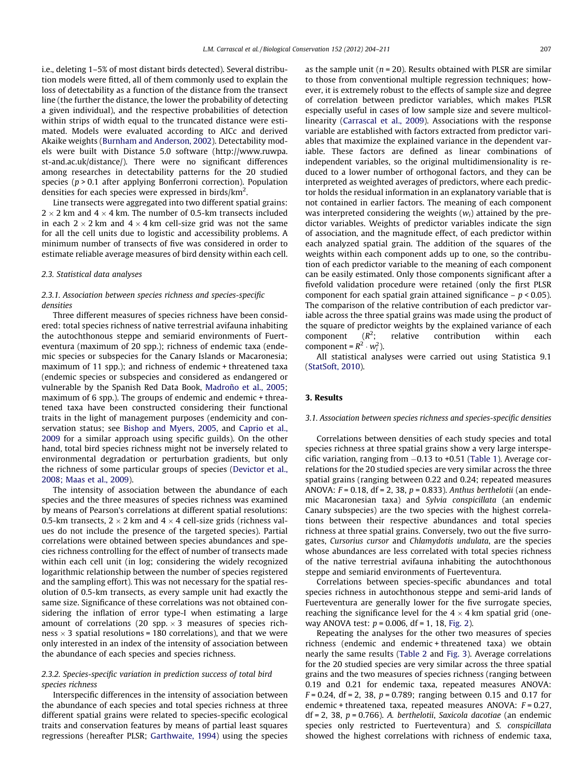i.e., deleting 1–5% of most distant birds detected). Several distribution models were fitted, all of them commonly used to explain the loss of detectability as a function of the distance from the transect line (the further the distance, the lower the probability of detecting a given individual), and the respective probabilities of detection within strips of width equal to the truncated distance were estimated. Models were evaluated according to AICc and derived Akaike weights ([Burnham and Anderson, 2002\)](#page-7-0). Detectability models were built with Distance 5.0 software (http://www.ruwpa. st-and.ac.uk/distance/). There were no significant differences among researches in detectability patterns for the 20 studied species ( $p > 0.1$  after applying Bonferroni correction). Population densities for each species were expressed in birds/km<sup>2</sup>.

Line transects were aggregated into two different spatial grains: 2  $\times$  2 km and 4  $\times$  4 km. The number of 0.5-km transects included in each 2  $\times$  2 km and 4  $\times$  4 km cell-size grid was not the same for all the cell units due to logistic and accessibility problems. A minimum number of transects of five was considered in order to estimate reliable average measures of bird density within each cell.

# 2.3. Statistical data analyses

# 2.3.1. Association between species richness and species-specific densities

Three different measures of species richness have been considered: total species richness of native terrestrial avifauna inhabiting the autochthonous steppe and semiarid environments of Fuerteventura (maximum of 20 spp.); richness of endemic taxa (endemic species or subspecies for the Canary Islands or Macaronesia; maximum of 11 spp.); and richness of endemic + threatened taxa (endemic species or subspecies and considered as endangered or vulnerable by the Spanish Red Data Book, [Madroño et al., 2005;](#page-7-0) maximum of 6 spp.). The groups of endemic and endemic + threatened taxa have been constructed considering their functional traits in the light of management purposes (endemicity and conservation status; see [Bishop and Myers, 2005,](#page-7-0) and [Caprio et al.,](#page-7-0) [2009](#page-7-0) for a similar approach using specific guilds). On the other hand, total bird species richness might not be inversely related to environmental degradation or perturbation gradients, but only the richness of some particular groups of species ([Devictor et al.,](#page-7-0) [2008; Maas et al., 2009](#page-7-0)).

The intensity of association between the abundance of each species and the three measures of species richness was examined by means of Pearson's correlations at different spatial resolutions: 0.5-km transects, 2  $\times$  2 km and 4  $\times$  4 cell-size grids (richness values do not include the presence of the targeted species). Partial correlations were obtained between species abundances and species richness controlling for the effect of number of transects made within each cell unit (in log; considering the widely recognized logarithmic relationship between the number of species registered and the sampling effort). This was not necessary for the spatial resolution of 0.5-km transects, as every sample unit had exactly the same size. Significance of these correlations was not obtained considering the inflation of error type-I when estimating a large amount of correlations (20 spp.  $\times$  3 measures of species richness  $\times$  3 spatial resolutions = 180 correlations), and that we were only interested in an index of the intensity of association between the abundance of each species and species richness.

# 2.3.2. Species-specific variation in prediction success of total bird species richness

Interspecific differences in the intensity of association between the abundance of each species and total species richness at three different spatial grains were related to species-specific ecological traits and conservation features by means of partial least squares regressions (hereafter PLSR; [Garthwaite, 1994](#page-7-0)) using the species as the sample unit ( $n = 20$ ). Results obtained with PLSR are similar to those from conventional multiple regression techniques; however, it is extremely robust to the effects of sample size and degree of correlation between predictor variables, which makes PLSR especially useful in cases of low sample size and severe multicollinearity [\(Carrascal et al., 2009\)](#page-7-0). Associations with the response variable are established with factors extracted from predictor variables that maximize the explained variance in the dependent variable. These factors are defined as linear combinations of independent variables, so the original multidimensionality is reduced to a lower number of orthogonal factors, and they can be interpreted as weighted averages of predictors, where each predictor holds the residual information in an explanatory variable that is not contained in earlier factors. The meaning of each component was interpreted considering the weights  $(w_i)$  attained by the predictor variables. Weights of predictor variables indicate the sign of association, and the magnitude effect, of each predictor within each analyzed spatial grain. The addition of the squares of the weights within each component adds up to one, so the contribution of each predictor variable to the meaning of each component can be easily estimated. Only those components significant after a fivefold validation procedure were retained (only the first PLSR component for each spatial grain attained significance  $- p < 0.05$ ). The comparison of the relative contribution of each predictor variable across the three spatial grains was made using the product of the square of predictor weights by the explained variance of each component  $(R^2;$ relative contribution within each component =  $R^2 \cdot w_i^2$ ).

All statistical analyses were carried out using Statistica 9.1 ([StatSoft, 2010](#page-7-0)).

# 3. Results

## 3.1. Association between species richness and species-specific densities

Correlations between densities of each study species and total species richness at three spatial grains show a very large interspecific variation, ranging from  $-0.13$  to  $+0.51$  ([Table 1](#page-2-0)). Average correlations for the 20 studied species are very similar across the three spatial grains (ranging between 0.22 and 0.24; repeated measures ANOVA:  $F = 0.18$ , df = 2, 38, p = 0.833). Anthus berthelotii (an endemic Macaronesian taxa) and Sylvia conspicillata (an endemic Canary subspecies) are the two species with the highest correlations between their respective abundances and total species richness at three spatial grains. Conversely, two out the five surrogates, Cursorius cursor and Chlamydotis undulata, are the species whose abundances are less correlated with total species richness of the native terrestrial avifauna inhabiting the autochthonous steppe and semiarid environments of Fuerteventura.

Correlations between species-specific abundances and total species richness in autochthonous steppe and semi-arid lands of Fuerteventura are generally lower for the five surrogate species, reaching the significance level for the  $4 \times 4$  km spatial grid (oneway ANOVA test:  $p = 0.006$ , df = 1, 18, [Fig. 2](#page-4-0)).

Repeating the analyses for the other two measures of species richness (endemic and endemic + threatened taxa) we obtain nearly the same results ([Table 2](#page-4-0) and [Fig. 3\)](#page-5-0). Average correlations for the 20 studied species are very similar across the three spatial grains and the two measures of species richness (ranging between 0.19 and 0.21 for endemic taxa, repeated measures ANOVA:  $F = 0.24$ , df = 2, 38,  $p = 0.789$ ; ranging between 0.15 and 0.17 for endemic + threatened taxa, repeated measures ANOVA:  $F = 0.27$ ,  $df = 2$ , 38,  $p = 0.766$ ). A. berthelotii, Saxicola dacotiae (an endemic species only restricted to Fuerteventura) and S. conspicillata showed the highest correlations with richness of endemic taxa,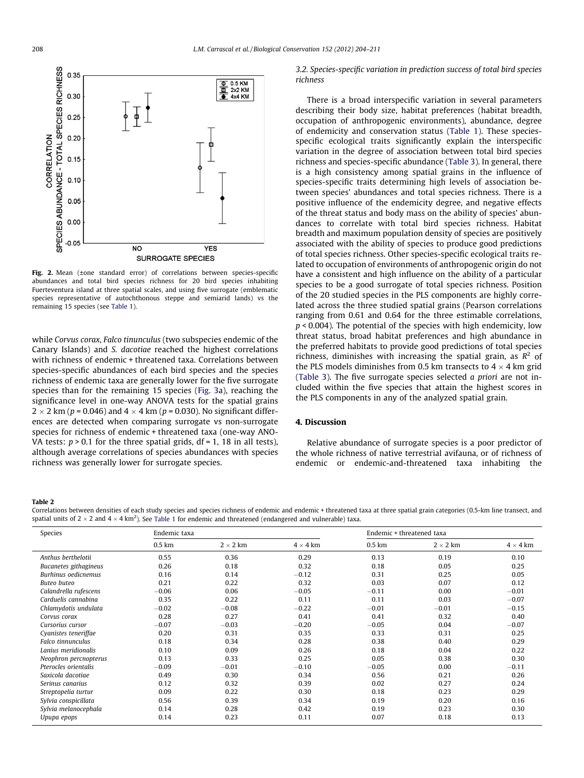<span id="page-4-0"></span>

Fig. 2. Mean (±one standard error) of correlations between species-specific abundances and total bird species richness for 20 bird species inhabiting Fuerteventura island at three spatial scales, and using five surrogate (emblematic species representative of autochthonous steppe and semiarid lands) vs the remaining 15 species (see [Table 1\)](#page-2-0).

while Corvus corax, Falco tinunculus (two subspecies endemic of the Canary Islands) and S. dacotiae reached the highest correlations with richness of endemic + threatened taxa. Correlations between species-specific abundances of each bird species and the species richness of endemic taxa are generally lower for the five surrogate species than for the remaining 15 species ([Fig. 3](#page-5-0)a), reaching the significance level in one-way ANOVA tests for the spatial grains 2  $\times$  2 km (p = 0.046) and 4  $\times$  4 km (p = 0.030). No significant differences are detected when comparing surrogate vs non-surrogate species for richness of endemic + threatened taxa (one-way ANO-VA tests:  $p > 0.1$  for the three spatial grids, df = 1, 18 in all tests), although average correlations of species abundances with species richness was generally lower for surrogate species.

3.2. Species-specific variation in prediction success of total bird species richness

There is a broad interspecific variation in several parameters describing their body size, habitat preferences (habitat breadth, occupation of anthropogenic environments), abundance, degree of endemicity and conservation status ([Table 1\)](#page-2-0). These speciesspecific ecological traits significantly explain the interspecific variation in the degree of association between total bird species richness and species-specific abundance ([Table 3\)](#page-5-0). In general, there is a high consistency among spatial grains in the influence of species-specific traits determining high levels of association between species' abundances and total species richness. There is a positive influence of the endemicity degree, and negative effects of the threat status and body mass on the ability of species' abundances to correlate with total bird species richness. Habitat breadth and maximum population density of species are positively associated with the ability of species to produce good predictions of total species richness. Other species-specific ecological traits related to occupation of environments of anthropogenic origin do not have a consistent and high influence on the ability of a particular species to be a good surrogate of total species richness. Position of the 20 studied species in the PLS components are highly correlated across the three studied spatial grains (Pearson correlations ranging from 0.61 and 0.64 for the three estimable correlations,  $p$  < 0.004). The potential of the species with high endemicity, low threat status, broad habitat preferences and high abundance in the preferred habitats to provide good predictions of total species richness, diminishes with increasing the spatial grain, as  $R^2$  of the PLS models diminishes from 0.5 km transects to  $4 \times 4$  km grid ([Table 3](#page-5-0)). The five surrogate species selected a priori are not included within the five species that attain the highest scores in the PLS components in any of the analyzed spatial grain.

### 4. Discussion

Relative abundance of surrogate species is a poor predictor of the whole richness of native terrestrial avifauna, or of richness of endemic or endemic-and-threatened taxa inhabiting the

#### Table 2

Correlations between densities of each study species and species richness of endemic and endemic + threatened taxa at three spatial grain categories (0.5-km line transect, and spatial units of 2  $\times$  2 and 4  $\times$  4 km<sup>2</sup>). See [Table 1](#page-2-0) for endemic and threatened (endangered and vulnerable) taxa.

| Species               | Endemic taxa      |                 |                 | Endemic + threatened taxa |                 |                 |  |
|-----------------------|-------------------|-----------------|-----------------|---------------------------|-----------------|-----------------|--|
|                       | $0.5 \mathrm{km}$ | $2 \times 2$ km | $4 \times 4$ km | $0.5 \text{ km}$          | $2 \times 2$ km | $4 \times 4$ km |  |
| Anthus berthelotii    | 0.55              | 0.36            | 0.29            | 0.13                      | 0.19            | 0.10            |  |
| Bucanetes githagineus | 0.26              | 0.18            | 0.32            | 0.18                      | 0.05            | 0.25            |  |
| Burhinus oedicnemus   | 0.16              | 0.14            | $-0.12$         | 0.31                      | 0.25            | 0.05            |  |
| Buteo buteo           | 0.21              | 0.22            | 0.32            | 0.03                      | 0.07            | 0.12            |  |
| Calandrella rufescens | $-0.06$           | 0.06            | $-0.05$         | $-0.11$                   | 0.00            | $-0.01$         |  |
| Carduelis cannabina   | 0.35              | 0.22            | 0.11            | 0.11                      | 0.03            | $-0.07$         |  |
| Chlamydotis undulata  | $-0.02$           | $-0.08$         | $-0.22$         | $-0.01$                   | $-0.01$         | $-0.15$         |  |
| Corvus corax          | 0.28              | 0.27            | 0.41            | 0.41                      | 0.32            | 0.40            |  |
| Cursorius cursor      | $-0.07$           | $-0.03$         | $-0.20$         | $-0.05$                   | 0.04            | $-0.07$         |  |
| Cyanistes teneriffae  | 0.20              | 0.31            | 0.35            | 0.33                      | 0.31            | 0.25            |  |
| Falco tinnunculus     | 0.18              | 0.34            | 0.28            | 0.38                      | 0.40            | 0.29            |  |
| Lanius meridionalis   | 0.10              | 0.09            | 0.26            | 0.18                      | 0.04            | 0.22            |  |
| Neophron percnopterus | 0.13              | 0.33            | 0.25            | 0.05                      | 0.38            | 0.30            |  |
| Pterocles orientalis  | $-0.09$           | $-0.01$         | $-0.10$         | $-0.05$                   | 0.00            | $-0.11$         |  |
| Saxicola dacotiae     | 0.49              | 0.30            | 0.34            | 0.56                      | 0.21            | 0.26            |  |
| Serinus canarius      | 0.12              | 0.32            | 0.39            | 0.02                      | 0.27            | 0.24            |  |
| Streptopelia turtur   | 0.09              | 0.22            | 0.30            | 0.18                      | 0.23            | 0.29            |  |
| Sylvia conspicillata  | 0.56              | 0.39            | 0.34            | 0.19                      | 0.20            | 0.16            |  |
| Sylvia melanocephala  | 0.14              | 0.28            | 0.42            | 0.19                      | 0.23            | 0.30            |  |
| Upupa epops           | 0.14              | 0.23            | 0.11            | 0.07                      | 0.18            | 0.13            |  |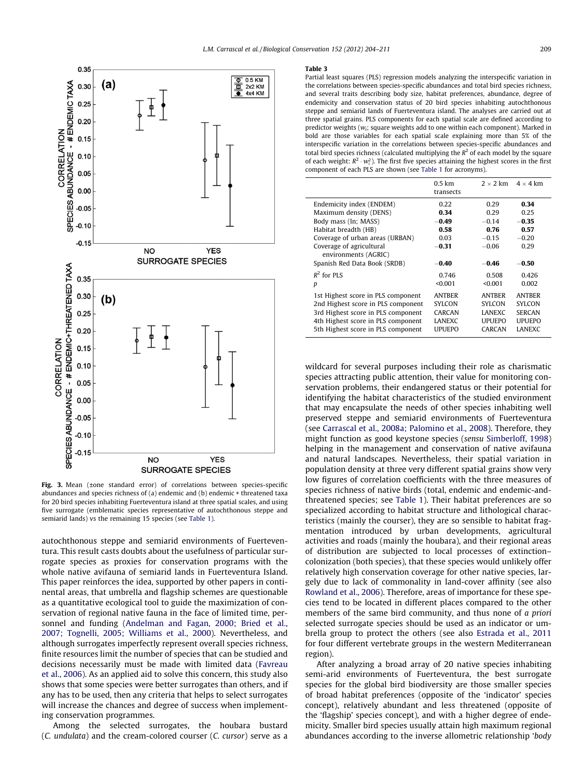<span id="page-5-0"></span>

Fig. 3. Mean (±one standard error) of correlations between species-specific abundances and species richness of (a) endemic and (b) endemic + threatened taxa for 20 bird species inhabiting Fuerteventura island at three spatial scales, and using five surrogate (emblematic species representative of autochthonous steppe and semiarid lands) vs the remaining 15 species (see [Table 1](#page-2-0)).

autochthonous steppe and semiarid environments of Fuerteventura. This result casts doubts about the usefulness of particular surrogate species as proxies for conservation programs with the whole native avifauna of semiarid lands in Fuerteventura Island. This paper reinforces the idea, supported by other papers in continental areas, that umbrella and flagship schemes are questionable as a quantitative ecological tool to guide the maximization of conservation of regional native fauna in the face of limited time, personnel and funding [\(Andelman and Fagan, 2000; Bried et al.,](#page-7-0) [2007; Tognelli, 2005; Williams et al., 2000](#page-7-0)). Nevertheless, and although surrogates imperfectly represent overall species richness, finite resources limit the number of species that can be studied and decisions necessarily must be made with limited data ([Favreau](#page-7-0) [et al., 2006\)](#page-7-0). As an applied aid to solve this concern, this study also shows that some species were better surrogates than others, and if any has to be used, then any criteria that helps to select surrogates will increase the chances and degree of success when implementing conservation programmes.

Among the selected surrogates, the houbara bustard (C. undulata) and the cream-colored courser (C. cursor) serve as a

#### Table 3

Partial least squares (PLS) regression models analyzing the interspecific variation in the correlations between species-specific abundances and total bird species richness, and several traits describing body size, habitat preferences, abundance, degree of endemicity and conservation status of 20 bird species inhabiting autochthonous steppe and semiarid lands of Fuerteventura island. The analyses are carried out at three spatial grains. PLS components for each spatial scale are defined according to predictor weights  $(w_i;$  square weights add to one within each component). Marked in bold are those variables for each spatial scale explaining more than 5% of the interspecific variation in the correlations between species-specific abundances and total bird species richness (calculated multiplying the  $R^2$  of each model by the square of each weight:  $R^2 \cdot w_i^2$ ). The first five species attaining the highest scores in the first component of each PLS are shown (see [Table 1](#page-2-0) for acronyms).

|                                    | $0.5 \text{ km}$<br>transects | $2 \times 2$ km | $4 \times 4$ km |
|------------------------------------|-------------------------------|-----------------|-----------------|
| Endemicity index (ENDEM)           | 0.22                          | 0.29            | 0.34            |
| Maximum density (DENS)             | 0.34                          | 0.29            | 0.25            |
| Body mass (ln; MASS)               | $-0.49$                       | $-0.14$         | $-0.35$         |
| Habitat breadth (HB)               | 0.58                          | 0.76            | 0.57            |
| Coverage of urban areas (URBAN)    | 0.03                          | $-0.15$         | $-0.20$         |
| Coverage of agricultural           | $-0.31$                       | $-0.06$         | 0.29            |
| environments (AGRIC)               |                               |                 |                 |
| Spanish Red Data Book (SRDB)       | $-0.40$                       | $-0.46$         | $-0.50$         |
| $R^2$ for PLS                      | 0.746                         | 0.508           | 0.426           |
| p                                  | < 0.001                       | < 0.001         | 0.002           |
| 1st Highest score in PLS component | <b>ANTBER</b>                 | <b>ANTBER</b>   | <b>ANTBER</b>   |
| 2nd Highest score in PLS component | <b>SYLCON</b>                 | <b>SYLCON</b>   | <b>SYLCON</b>   |
| 3rd Highest score in PLS component | CARCAN                        | LANEXC          | <b>SERCAN</b>   |
| 4th Highest score in PLS component | <b>LANEXC</b>                 | <b>UPUEPO</b>   | <b>UPUEPO</b>   |
| 5th Highest score in PLS component | <b>UPUEPO</b>                 | <b>CARCAN</b>   | <b>LANEXC</b>   |

wildcard for several purposes including their role as charismatic species attracting public attention, their value for monitoring conservation problems, their endangered status or their potential for identifying the habitat characteristics of the studied environment that may encapsulate the needs of other species inhabiting well preserved steppe and semiarid environments of Fuerteventura (see [Carrascal et al., 2008a; Palomino et al., 2008\)](#page-7-0). Therefore, they might function as good keystone species (sensu [Simberloff, 1998\)](#page-7-0) helping in the management and conservation of native avifauna and natural landscapes. Nevertheless, their spatial variation in population density at three very different spatial grains show very low figures of correlation coefficients with the three measures of species richness of native birds (total, endemic and endemic-andthreatened species; see [Table 1](#page-2-0)). Their habitat preferences are so specialized according to habitat structure and lithological characteristics (mainly the courser), they are so sensible to habitat fragmentation introduced by urban developments, agricultural activities and roads (mainly the houbara), and their regional areas of distribution are subjected to local processes of extinction– colonization (both species), that these species would unlikely offer relatively high conservation coverage for other native species, largely due to lack of commonality in land-cover affinity (see also [Rowland et al., 2006\)](#page-7-0). Therefore, areas of importance for these species tend to be located in different places compared to the other members of the same bird community, and thus none of a priori selected surrogate species should be used as an indicator or umbrella group to protect the others (see also [Estrada et al., 2011](#page-7-0) for four different vertebrate groups in the western Mediterranean region).

After analyzing a broad array of 20 native species inhabiting semi-arid environments of Fuerteventura, the best surrogate species for the global bird biodiversity are those smaller species of broad habitat preferences (opposite of the 'indicator' species concept), relatively abundant and less threatened (opposite of the 'flagship' species concept), and with a higher degree of endemicity. Smaller bird species usually attain high maximum regional abundances according to the inverse allometric relationship 'body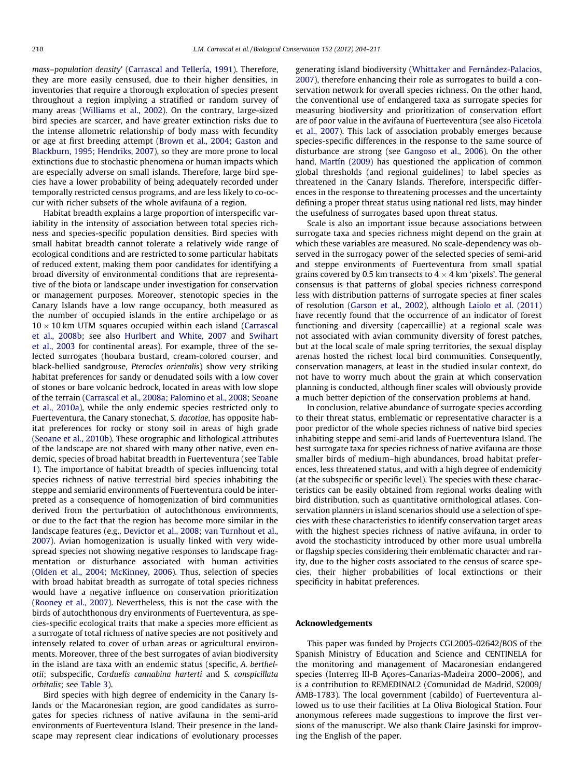mass–population density' [\(Carrascal and Tellería, 1991\)](#page-7-0). Therefore, they are more easily censused, due to their higher densities, in inventories that require a thorough exploration of species present throughout a region implying a stratified or random survey of many areas [\(Williams et al., 2002\)](#page-7-0). On the contrary, large-sized bird species are scarcer, and have greater extinction risks due to the intense allometric relationship of body mass with fecundity or age at first breeding attempt [\(Brown et al., 2004; Gaston and](#page-7-0) [Blackburn, 1995; Hendriks, 2007](#page-7-0)), so they are more prone to local extinctions due to stochastic phenomena or human impacts which are especially adverse on small islands. Therefore, large bird species have a lower probability of being adequately recorded under temporally restricted census programs, and are less likely to co-occur with richer subsets of the whole avifauna of a region.

Habitat breadth explains a large proportion of interspecific variability in the intensity of association between total species richness and species-specific population densities. Bird species with small habitat breadth cannot tolerate a relatively wide range of ecological conditions and are restricted to some particular habitats of reduced extent, making them poor candidates for identifying a broad diversity of environmental conditions that are representative of the biota or landscape under investigation for conservation or management purposes. Moreover, stenotopic species in the Canary Islands have a low range occupancy, both measured as the number of occupied islands in the entire archipelago or as  $10 \times 10$  km UTM squares occupied within each island [\(Carrascal](#page-7-0) [et al., 2008b](#page-7-0); see also [Hurlbert and White, 2007](#page-7-0) and [Swihart](#page-7-0) [et al., 2003](#page-7-0) for continental areas). For example, three of the selected surrogates (houbara bustard, cream-colored courser, and black-bellied sandgrouse, Pterocles orientalis) show very striking habitat preferences for sandy or denudated soils with a low cover of stones or bare volcanic bedrock, located in areas with low slope of the terrain [\(Carrascal et al., 2008a; Palomino et al., 2008; Seoane](#page-7-0) [et al., 2010a\)](#page-7-0), while the only endemic species restricted only to Fuerteventura, the Canary stonechat, S. dacotiae, has opposite habitat preferences for rocky or stony soil in areas of high grade ([Seoane et al., 2010b](#page-7-0)). These orographic and lithological attributes of the landscape are not shared with many other native, even endemic, species of broad habitat breadth in Fuerteventura (see [Table](#page-2-0) [1](#page-2-0)). The importance of habitat breadth of species influencing total species richness of native terrestrial bird species inhabiting the steppe and semiarid environments of Fuerteventura could be interpreted as a consequence of homogenization of bird communities derived from the perturbation of autochthonous environments, or due to the fact that the region has become more similar in the landscape features (e.g., [Devictor et al., 2008; van Turnhout et al.,](#page-7-0) [2007\)](#page-7-0). Avian homogenization is usually linked with very widespread species not showing negative responses to landscape fragmentation or disturbance associated with human activities ([Olden et al., 2004; McKinney, 2006\)](#page-7-0). Thus, selection of species with broad habitat breadth as surrogate of total species richness would have a negative influence on conservation prioritization ([Rooney et al., 2007\)](#page-7-0). Nevertheless, this is not the case with the birds of autochthonous dry environments of Fuerteventura, as species-specific ecological traits that make a species more efficient as a surrogate of total richness of native species are not positively and intensely related to cover of urban areas or agricultural environments. Moreover, three of the best surrogates of avian biodiversity in the island are taxa with an endemic status (specific, A. berthelotii; subspecific, Carduelis cannabina harterti and S. conspicillata orbitalis; see [Table 3](#page-5-0)).

Bird species with high degree of endemicity in the Canary Islands or the Macaronesian region, are good candidates as surrogates for species richness of native avifauna in the semi-arid environments of Fuerteventura Island. Their presence in the landscape may represent clear indications of evolutionary processes generating island biodiversity ([Whittaker and Fernández-Palacios,](#page-7-0) [2007\)](#page-7-0), therefore enhancing their role as surrogates to build a conservation network for overall species richness. On the other hand, the conventional use of endangered taxa as surrogate species for measuring biodiversity and prioritization of conservation effort are of poor value in the avifauna of Fuerteventura (see also [Ficetola](#page-7-0) [et al., 2007](#page-7-0)). This lack of association probably emerges because species-specific differences in the response to the same source of disturbance are strong (see [Gangoso et al., 2006](#page-7-0)). On the other hand, [Martín \(2009\)](#page-7-0) has questioned the application of common global thresholds (and regional guidelines) to label species as threatened in the Canary Islands. Therefore, interspecific differences in the response to threatening processes and the uncertainty defining a proper threat status using national red lists, may hinder the usefulness of surrogates based upon threat status.

Scale is also an important issue because associations between surrogate taxa and species richness might depend on the grain at which these variables are measured. No scale-dependency was observed in the surrogacy power of the selected species of semi-arid and steppe environments of Fuerteventura from small spatial grains covered by 0.5 km transects to 4  $\times$  4 km 'pixels'. The general consensus is that patterns of global species richness correspond less with distribution patterns of surrogate species at finer scales of resolution ([Garson et al., 2002](#page-7-0)), although [Laiolo et al. \(2011\)](#page-7-0) have recently found that the occurrence of an indicator of forest functioning and diversity (capercaillie) at a regional scale was not associated with avian community diversity of forest patches, but at the local scale of male spring territories, the sexual display arenas hosted the richest local bird communities. Consequently, conservation managers, at least in the studied insular context, do not have to worry much about the grain at which conservation planning is conducted, although finer scales will obviously provide a much better depiction of the conservation problems at hand.

In conclusion, relative abundance of surrogate species according to their threat status, emblematic or representative character is a poor predictor of the whole species richness of native bird species inhabiting steppe and semi-arid lands of Fuerteventura Island. The best surrogate taxa for species richness of native avifauna are those smaller birds of medium–high abundances, broad habitat preferences, less threatened status, and with a high degree of endemicity (at the subspecific or specific level). The species with these characteristics can be easily obtained from regional works dealing with bird distribution, such as quantitative ornithological atlases. Conservation planners in island scenarios should use a selection of species with these characteristics to identify conservation target areas with the highest species richness of native avifauna, in order to avoid the stochasticity introduced by other more usual umbrella or flagship species considering their emblematic character and rarity, due to the higher costs associated to the census of scarce species, their higher probabilities of local extinctions or their specificity in habitat preferences.

### Acknowledgements

This paper was funded by Projects CGL2005-02642/BOS of the Spanish Ministry of Education and Science and CENTINELA for the monitoring and management of Macaronesian endangered species (Interreg III-B Açores-Canarias-Madeira 2000–2006), and is a contribution to REMEDINAL2 (Comunidad de Madrid, S2009/ AMB-1783). The local government (cabildo) of Fuerteventura allowed us to use their facilities at La Oliva Biological Station. Four anonymous referees made suggestions to improve the first versions of the manuscript. We also thank Claire Jasinski for improving the English of the paper.